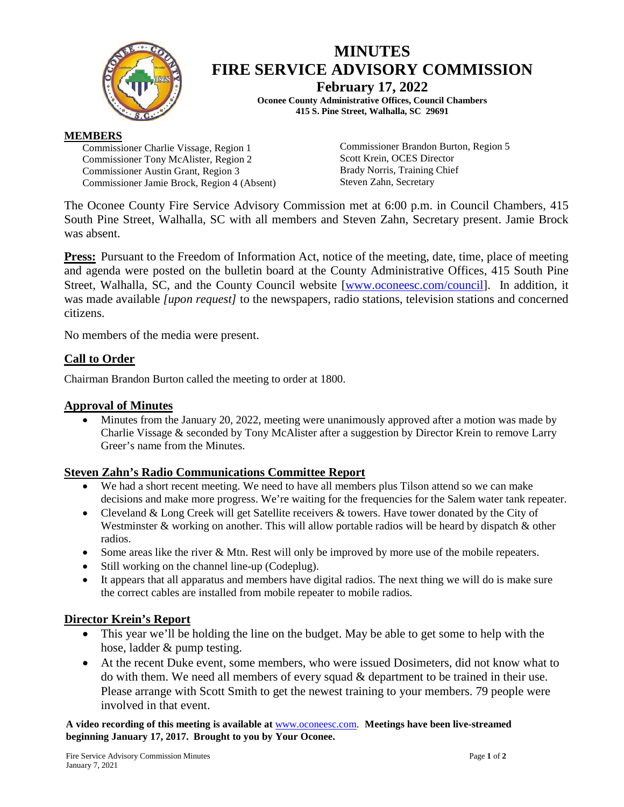

# **MINUTES FIRE SERVICE ADVISORY COMMISSION**

**February 17, 2022 Oconee County Administrative Offices, Council Chambers 415 S. Pine Street, Walhalla, SC 29691**

#### **MEMBERS**

Commissioner Charlie Vissage, Region 1 Commissioner Tony McAlister, Region 2 Commissioner Austin Grant, Region 3 Commissioner Jamie Brock, Region 4 (Absent) Commissioner Brandon Burton, Region 5 Scott Krein, OCES Director Brady Norris, Training Chief Steven Zahn, Secretary

The Oconee County Fire Service Advisory Commission met at 6:00 p.m. in Council Chambers, 415 South Pine Street, Walhalla, SC with all members and Steven Zahn, Secretary present. Jamie Brock was absent.

**Press:** Pursuant to the Freedom of Information Act, notice of the meeting, date, time, place of meeting and agenda were posted on the bulletin board at the County Administrative Offices, 415 South Pine Street, Walhalla, SC, and the County Council website [\[www.oconeesc.com/council\]](http://www.oconeesc.com/council). In addition, it was made available *[upon request]* to the newspapers, radio stations, television stations and concerned citizens.

No members of the media were present.

## **Call to Order**

Chairman Brandon Burton called the meeting to order at 1800.

## **Approval of Minutes**

• Minutes from the January 20, 2022, meeting were unanimously approved after a motion was made by Charlie Vissage & seconded by Tony McAlister after a suggestion by Director Krein to remove Larry Greer's name from the Minutes.

## **Steven Zahn's Radio Communications Committee Report**

- We had a short recent meeting. We need to have all members plus Tilson attend so we can make decisions and make more progress. We're waiting for the frequencies for the Salem water tank repeater.
- Cleveland & Long Creek will get Satellite receivers & towers. Have tower donated by the City of Westminster & working on another. This will allow portable radios will be heard by dispatch & other radios.
- Some areas like the river & Mtn. Rest will only be improved by more use of the mobile repeaters.
- Still working on the channel line-up (Codeplug).
- It appears that all apparatus and members have digital radios. The next thing we will do is make sure the correct cables are installed from mobile repeater to mobile radios.

## **Director Krein's Report**

- This year we'll be holding the line on the budget. May be able to get some to help with the hose, ladder & pump testing.
- At the recent Duke event, some members, who were issued Dosimeters, did not know what to do with them. We need all members of every squad & department to be trained in their use. Please arrange with Scott Smith to get the newest training to your members. 79 people were involved in that event.

**A video recording of this meeting is available at** [www.oconeesc.com.](http://www.oconeesc.com/) **Meetings have been live-streamed beginning January 17, 2017. Brought to you by Your Oconee.**